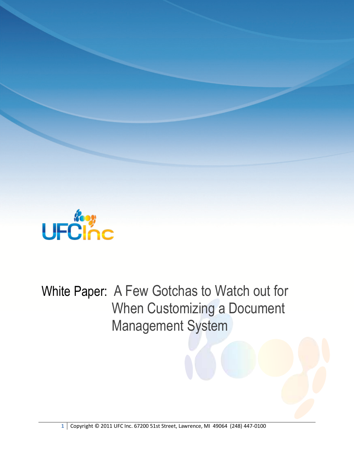

White Paper: A Few Gotchas to Watch out for When Customizing a Document Management System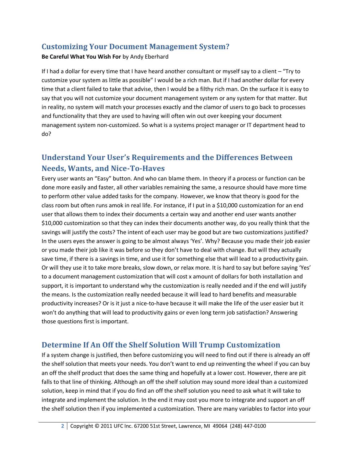## **Customizing Your Document Management System?**

#### **Be Careful What You Wish For** by Andy Eberhard

If I had a dollar for every time that I have heard another consultant or myself say to a client – "Try to customize your system as little as possible" I would be a rich man. But if I had another dollar for every time that a client failed to take that advise, then I would be a filthy rich man. On the surface it is easy to say that you will not customize your document management system or any system for that matter. But in reality, no system will match your processes exactly and the clamor of users to go back to processes and functionality that they are used to having will often win out over keeping your document management system non-customized. So what is a systems project manager or IT department head to do?

# **Understand Your User's Requirements and the Differences Between Needs, Wants, and Nice-To-Haves**

Every user wants an "Easy" button. And who can blame them. In theory if a process or function can be done more easily and faster, all other variables remaining the same, a resource should have more time to perform other value added tasks for the company. However, we know that theory is good for the class room but often runs amok in real life. For instance, if I put in a \$10,000 customization for an end user that allows them to index their documents a certain way and another end user wants another \$10,000 customization so that they can index their documents another way, do you really think that the savings will justify the costs? The intent of each user may be good but are two customizations justified? In the users eyes the answer is going to be almost always 'Yes'. Why? Because you made their job easier or you made their job like it was before so they don't have to deal with change. But will they actually save time, if there is a savings in time, and use it for something else that will lead to a productivity gain. Or will they use it to take more breaks, slow down, or relax more. It is hard to say but before saying 'Yes' to a document management customization that will cost x amount of dollars for both installation and support, it is important to understand why the customization is really needed and if the end will justify the means. Is the customization really needed because it will lead to hard benefits and measurable productivity increases? Or is it just a nice-to-have because it will make the life of the user easier but it won't do anything that will lead to productivity gains or even long term job satisfaction? Answering those questions first is important.

### **Determine If An Off the Shelf Solution Will Trump Customization**

If a system change is justified, then before customizing you will need to find out if there is already an off the shelf solution that meets your needs. You don't want to end up reinventing the wheel if you can buy an off the shelf product that does the same thing and hopefully at a lower cost. However, there are pit falls to that line of thinking. Although an off the shelf solution may sound more ideal than a customized solution, keep in mind that if you do find an off the shelf solution you need to ask what it will take to integrate and implement the solution. In the end it may cost you more to integrate and support an off the shelf solution then if you implemented a customization. There are many variables to factor into your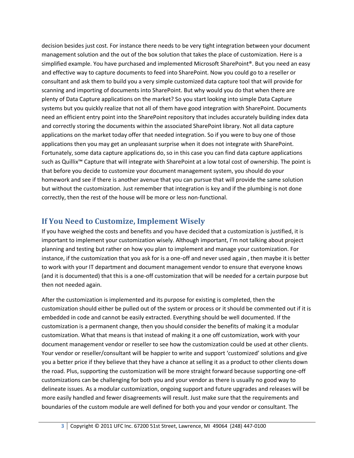decision besides just cost. For instance there needs to be very tight integration between your document management solution and the out of the box solution that takes the place of customization. Here is a simplified example. You have purchased and implemented Microsoft SharePoint®. But you need an easy and effective way to capture documents to feed into SharePoint. Now you could go to a reseller or consultant and ask them to build you a very simple customized data capture tool that will provide for scanning and importing of documents into SharePoint. But why would you do that when there are plenty of Data Capture applications on the market? So you start looking into simple Data Capture systems but you quickly realize that not all of them have good integration with SharePoint. Documents need an efficient entry point into the SharePoint repository that includes accurately building index data and correctly storing the documents within the associated SharePoint library. Not all data capture applications on the market today offer that needed integration. So if you were to buy one of those applications then you may get an unpleasant surprise when it does not integrate with SharePoint. Fortunately, some data capture applications do, so in this case you can find data capture applications such as Quillix™ Capture that will integrate with SharePoint at a low total cost of ownership. The point is that before you decide to customize your document management system, you should do your homework and see if there is another avenue that you can pursue that will provide the same solution but without the customization. Just remember that integration is key and if the plumbing is not done correctly, then the rest of the house will be more or less non-functional.

### **If You Need to Customize, Implement Wisely**

If you have weighed the costs and benefits and you have decided that a customization is justified, it is important to implement your customization wisely. Although important, I'm not talking about project planning and testing but rather on how you plan to implement and manage your customization. For instance, if the customization that you ask for is a one-off and never used again , then maybe it is better to work with your IT department and document management vendor to ensure that everyone knows (and it is documented) that this is a one-off customization that will be needed for a certain purpose but then not needed again.

After the customization is implemented and its purpose for existing is completed, then the customization should either be pulled out of the system or process or it should be commented out if it is embedded in code and cannot be easily extracted. Everything should be well documented. If the customization is a permanent change, then you should consider the benefits of making it a modular customization. What that means is that instead of making it a one off customization, work with your document management vendor or reseller to see how the customization could be used at other clients. Your vendor or reseller/consultant will be happier to write and support 'customized' solutions and give you a better price if they believe that they have a chance at selling it as a product to other clients down the road. Plus, supporting the customization will be more straight forward because supporting one-off customizations can be challenging for both you and your vendor as there is usually no good way to delineate issues. As a modular customization, ongoing support and future upgrades and releases will be more easily handled and fewer disagreements will result. Just make sure that the requirements and boundaries of the custom module are well defined for both you and your vendor or consultant. The